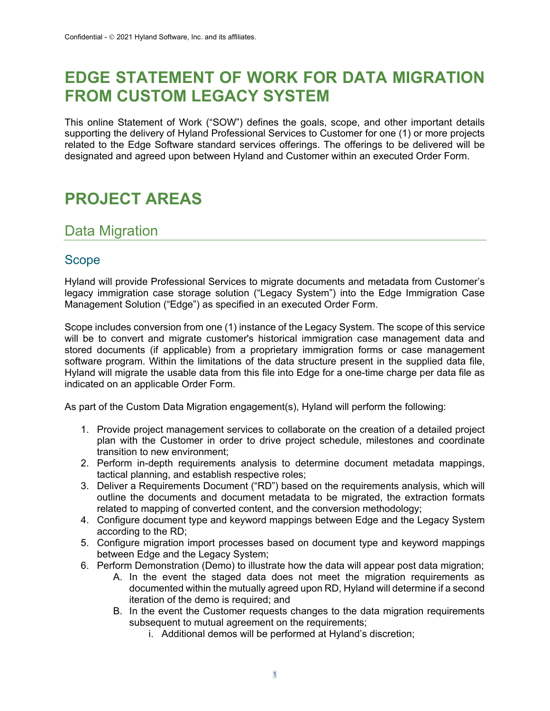## **EDGE STATEMENT OF WORK FOR DATA MIGRATION FROM CUSTOM LEGACY SYSTEM**

This online Statement of Work ("SOW") defines the goals, scope, and other important details supporting the delivery of Hyland Professional Services to Customer for one (1) or more projects related to the Edge Software standard services offerings. The offerings to be delivered will be designated and agreed upon between Hyland and Customer within an executed Order Form.

## **PROJECT AREAS**

### Data Migration

#### Scope

Hyland will provide Professional Services to migrate documents and metadata from Customer's legacy immigration case storage solution ("Legacy System") into the Edge Immigration Case Management Solution ("Edge") as specified in an executed Order Form.

Scope includes conversion from one (1) instance of the Legacy System. The scope of this service will be to convert and migrate customer's historical immigration case management data and stored documents (if applicable) from a proprietary immigration forms or case management software program. Within the limitations of the data structure present in the supplied data file, Hyland will migrate the usable data from this file into Edge for a one-time charge per data file as indicated on an applicable Order Form.

As part of the Custom Data Migration engagement(s), Hyland will perform the following:

- 1. Provide project management services to collaborate on the creation of a detailed project plan with the Customer in order to drive project schedule, milestones and coordinate transition to new environment;
- 2. Perform in-depth requirements analysis to determine document metadata mappings, tactical planning, and establish respective roles;
- 3. Deliver a Requirements Document ("RD") based on the requirements analysis, which will outline the documents and document metadata to be migrated, the extraction formats related to mapping of converted content, and the conversion methodology;
- 4. Configure document type and keyword mappings between Edge and the Legacy System according to the RD;
- 5. Configure migration import processes based on document type and keyword mappings between Edge and the Legacy System;
- 6. Perform Demonstration (Demo) to illustrate how the data will appear post data migration;
	- A. In the event the staged data does not meet the migration requirements as documented within the mutually agreed upon RD, Hyland will determine if a second iteration of the demo is required; and
	- B. In the event the Customer requests changes to the data migration requirements subsequent to mutual agreement on the requirements;
		- i. Additional demos will be performed at Hyland's discretion;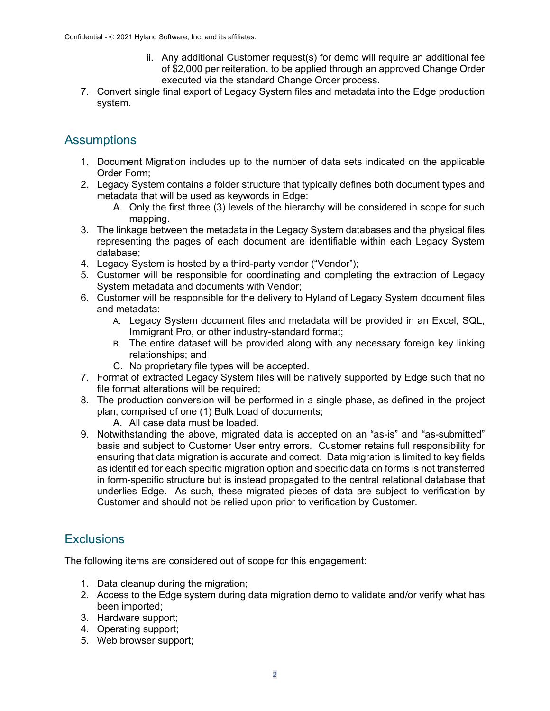- ii. Any additional Customer request(s) for demo will require an additional fee of \$2,000 per reiteration, to be applied through an approved Change Order executed via the standard Change Order process.
- 7. Convert single final export of Legacy System files and metadata into the Edge production system.

### **Assumptions**

- 1. Document Migration includes up to the number of data sets indicated on the applicable Order Form;
- 2. Legacy System contains a folder structure that typically defines both document types and metadata that will be used as keywords in Edge:
	- A. Only the first three (3) levels of the hierarchy will be considered in scope for such mapping.
- 3. The linkage between the metadata in the Legacy System databases and the physical files representing the pages of each document are identifiable within each Legacy System database;
- 4. Legacy System is hosted by a third-party vendor ("Vendor");
- 5. Customer will be responsible for coordinating and completing the extraction of Legacy System metadata and documents with Vendor;
- 6. Customer will be responsible for the delivery to Hyland of Legacy System document files and metadata:
	- A. Legacy System document files and metadata will be provided in an Excel, SQL, Immigrant Pro, or other industry-standard format;
	- B. The entire dataset will be provided along with any necessary foreign key linking relationships; and
	- C. No proprietary file types will be accepted.
- 7. Format of extracted Legacy System files will be natively supported by Edge such that no file format alterations will be required;
- 8. The production conversion will be performed in a single phase, as defined in the project plan, comprised of one (1) Bulk Load of documents;
	- A. All case data must be loaded.
- 9. Notwithstanding the above, migrated data is accepted on an "as-is" and "as-submitted" basis and subject to Customer User entry errors. Customer retains full responsibility for ensuring that data migration is accurate and correct. Data migration is limited to key fields as identified for each specific migration option and specific data on forms is not transferred in form-specific structure but is instead propagated to the central relational database that underlies Edge. As such, these migrated pieces of data are subject to verification by Customer and should not be relied upon prior to verification by Customer.

### **Exclusions**

The following items are considered out of scope for this engagement:

- 1. Data cleanup during the migration;
- 2. Access to the Edge system during data migration demo to validate and/or verify what has been imported;
- 3. Hardware support;
- 4. Operating support;
- 5. Web browser support;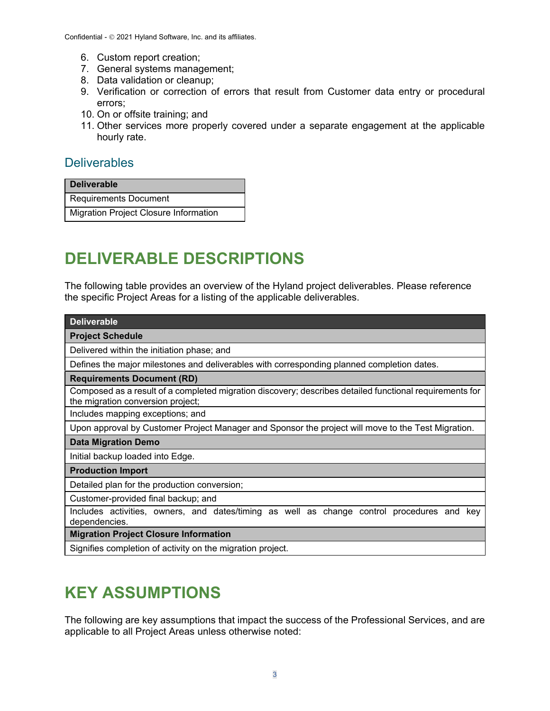- 6. Custom report creation;
- 7. General systems management;
- 8. Data validation or cleanup;
- 9. Verification or correction of errors that result from Customer data entry or procedural errors;
- 10. On or offsite training; and
- 11. Other services more properly covered under a separate engagement at the applicable hourly rate.

#### **Deliverables**

Requirements Document

Migration Project Closure Information

# **DELIVERABLE DESCRIPTIONS**

The following table provides an overview of the Hyland project deliverables. Please reference the specific Project Areas for a listing of the applicable deliverables.

| <b>Deliverable</b>                                                                                                                           |
|----------------------------------------------------------------------------------------------------------------------------------------------|
| <b>Project Schedule</b>                                                                                                                      |
| Delivered within the initiation phase; and                                                                                                   |
| Defines the major milestones and deliverables with corresponding planned completion dates.                                                   |
| <b>Requirements Document (RD)</b>                                                                                                            |
| Composed as a result of a completed migration discovery; describes detailed functional requirements for<br>the migration conversion project; |
| Includes mapping exceptions; and                                                                                                             |
| Upon approval by Customer Project Manager and Sponsor the project will move to the Test Migration.                                           |
| <b>Data Migration Demo</b>                                                                                                                   |
| Initial backup loaded into Edge.                                                                                                             |
| <b>Production Import</b>                                                                                                                     |
| Detailed plan for the production conversion;                                                                                                 |
| Customer-provided final backup; and                                                                                                          |
| Includes activities, owners, and dates/timing as well as change control procedures and<br>kev<br>dependencies.                               |
| <b>Migration Project Closure Information</b>                                                                                                 |

Signifies completion of activity on the migration project.

# **KEY ASSUMPTIONS**

The following are key assumptions that impact the success of the Professional Services, and are applicable to all Project Areas unless otherwise noted: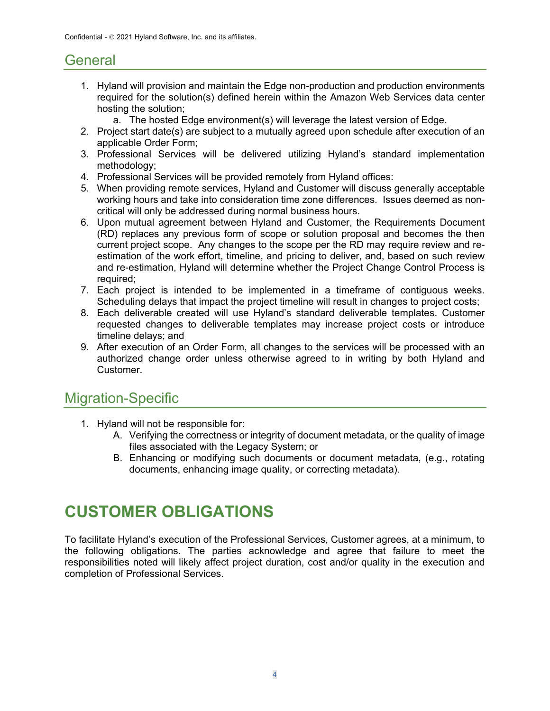### **General**

- 1. Hyland will provision and maintain the Edge non-production and production environments required for the solution(s) defined herein within the Amazon Web Services data center hosting the solution;
	- a. The hosted Edge environment(s) will leverage the latest version of Edge.
- 2. Project start date(s) are subject to a mutually agreed upon schedule after execution of an applicable Order Form;
- 3. Professional Services will be delivered utilizing Hyland's standard implementation methodology;
- 4. Professional Services will be provided remotely from Hyland offices:
- 5. When providing remote services, Hyland and Customer will discuss generally acceptable working hours and take into consideration time zone differences. Issues deemed as noncritical will only be addressed during normal business hours.
- 6. Upon mutual agreement between Hyland and Customer, the Requirements Document (RD) replaces any previous form of scope or solution proposal and becomes the then current project scope. Any changes to the scope per the RD may require review and reestimation of the work effort, timeline, and pricing to deliver, and, based on such review and re-estimation, Hyland will determine whether the Project Change Control Process is required;
- 7. Each project is intended to be implemented in a timeframe of contiguous weeks. Scheduling delays that impact the project timeline will result in changes to project costs;
- 8. Each deliverable created will use Hyland's standard deliverable templates. Customer requested changes to deliverable templates may increase project costs or introduce timeline delays; and
- 9. After execution of an Order Form, all changes to the services will be processed with an authorized change order unless otherwise agreed to in writing by both Hyland and Customer.

### Migration-Specific

- 1. Hyland will not be responsible for:
	- A. Verifying the correctness or integrity of document metadata, or the quality of image files associated with the Legacy System; or
	- B. Enhancing or modifying such documents or document metadata, (e.g., rotating documents, enhancing image quality, or correcting metadata).

## **CUSTOMER OBLIGATIONS**

To facilitate Hyland's execution of the Professional Services, Customer agrees, at a minimum, to the following obligations. The parties acknowledge and agree that failure to meet the responsibilities noted will likely affect project duration, cost and/or quality in the execution and completion of Professional Services.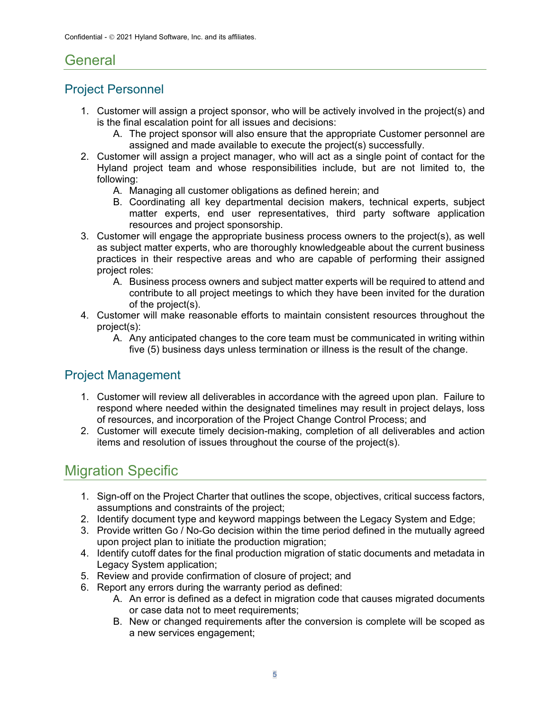### General

### Project Personnel

- 1. Customer will assign a project sponsor, who will be actively involved in the project(s) and is the final escalation point for all issues and decisions:
	- A. The project sponsor will also ensure that the appropriate Customer personnel are assigned and made available to execute the project(s) successfully.
- 2. Customer will assign a project manager, who will act as a single point of contact for the Hyland project team and whose responsibilities include, but are not limited to, the following:
	- A. Managing all customer obligations as defined herein; and
	- B. Coordinating all key departmental decision makers, technical experts, subject matter experts, end user representatives, third party software application resources and project sponsorship.
- 3. Customer will engage the appropriate business process owners to the project(s), as well as subject matter experts, who are thoroughly knowledgeable about the current business practices in their respective areas and who are capable of performing their assigned project roles:
	- A. Business process owners and subject matter experts will be required to attend and contribute to all project meetings to which they have been invited for the duration of the project(s).
- 4. Customer will make reasonable efforts to maintain consistent resources throughout the project(s):
	- A. Any anticipated changes to the core team must be communicated in writing within five (5) business days unless termination or illness is the result of the change.

### Project Management

- 1. Customer will review all deliverables in accordance with the agreed upon plan. Failure to respond where needed within the designated timelines may result in project delays, loss of resources, and incorporation of the Project Change Control Process; and
- 2. Customer will execute timely decision-making, completion of all deliverables and action items and resolution of issues throughout the course of the project(s).

## Migration Specific

- 1. Sign-off on the Project Charter that outlines the scope, objectives, critical success factors, assumptions and constraints of the project;
- 2. Identify document type and keyword mappings between the Legacy System and Edge;
- 3. Provide written Go / No-Go decision within the time period defined in the mutually agreed upon project plan to initiate the production migration;
- 4. Identify cutoff dates for the final production migration of static documents and metadata in Legacy System application;
- 5. Review and provide confirmation of closure of project; and
- 6. Report any errors during the warranty period as defined:
	- A. An error is defined as a defect in migration code that causes migrated documents or case data not to meet requirements;
	- B. New or changed requirements after the conversion is complete will be scoped as a new services engagement;